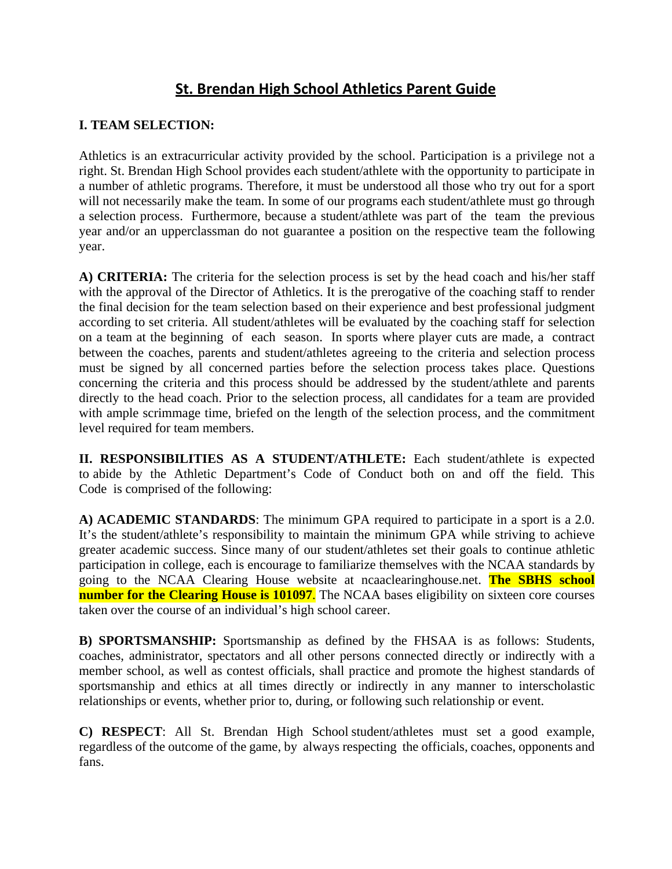## **St. Brendan High School Athletics Parent Guide**

## **I. TEAM SELECTION:**

Athletics is an extracurricular activity provided by the school. Participation is a privilege not a right. St. Brendan High School provides each student/athlete with the opportunity to participate in a number of athletic programs. Therefore, it must be understood all those who try out for a sport will not necessarily make the team. In some of our programs each student/athlete must go through a selection process. Furthermore, because a student/athlete was part of the team the previous year and/or an upperclassman do not guarantee a position on the respective team the following year.

**A) CRITERIA:** The criteria for the selection process is set by the head coach and his/her staff with the approval of the Director of Athletics. It is the prerogative of the coaching staff to render the final decision for the team selection based on their experience and best professional judgment according to set criteria. All student/athletes will be evaluated by the coaching staff for selection on a team at the beginning of each season. In sports where player cuts are made, a contract between the coaches, parents and student/athletes agreeing to the criteria and selection process must be signed by all concerned parties before the selection process takes place. Questions concerning the criteria and this process should be addressed by the student/athlete and parents directly to the head coach. Prior to the selection process, all candidates for a team are provided with ample scrimmage time, briefed on the length of the selection process, and the commitment level required for team members.

**II. RESPONSIBILITIES AS A STUDENT/ATHLETE:** Each student/athlete is expected to abide by the Athletic Department's Code of Conduct both on and off the field. This Code is comprised of the following:

**A) ACADEMIC STANDARDS**: The minimum GPA required to participate in a sport is a 2.0. It's the student/athlete's responsibility to maintain the minimum GPA while striving to achieve greater academic success. Since many of our student/athletes set their goals to continue athletic participation in college, each is encourage to familiarize themselves with the NCAA standards by going to the NCAA Clearing House website at ncaaclearinghouse.net. **The SBHS school number for the Clearing House is 101097.** The NCAA bases eligibility on sixteen core courses taken over the course of an individual's high school career.

**B) SPORTSMANSHIP:** Sportsmanship as defined by the FHSAA is as follows: Students, coaches, administrator, spectators and all other persons connected directly or indirectly with a member school, as well as contest officials, shall practice and promote the highest standards of sportsmanship and ethics at all times directly or indirectly in any manner to interscholastic relationships or events, whether prior to, during, or following such relationship or event.

**C) RESPECT**: All St. Brendan High School student/athletes must set a good example, regardless of the outcome of the game, by always respecting the officials, coaches, opponents and fans.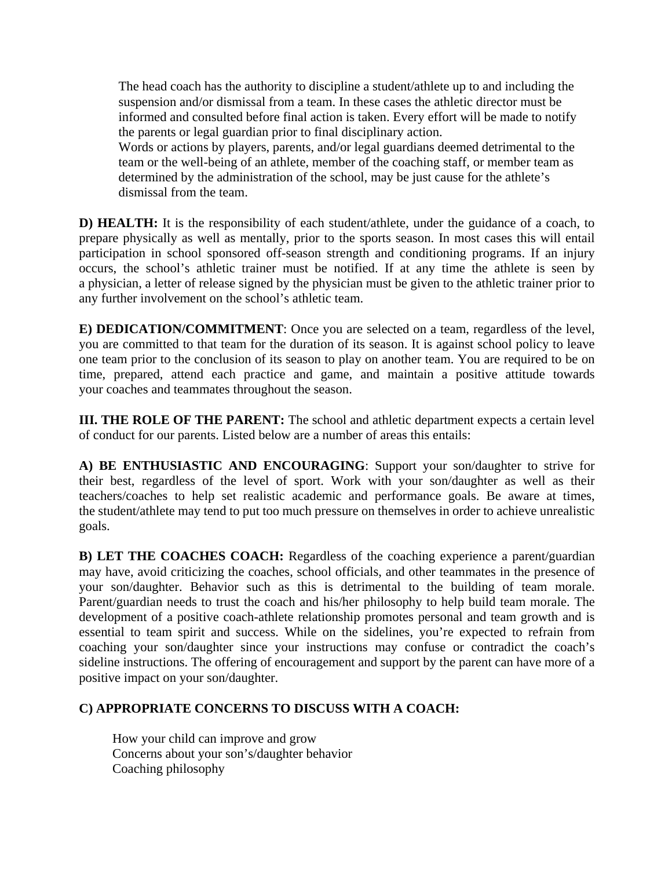The head coach has the authority to discipline a student/athlete up to and including the suspension and/or dismissal from a team. In these cases the athletic director must be informed and consulted before final action is taken. Every effort will be made to notify the parents or legal guardian prior to final disciplinary action. Words or actions by players, parents, and/or legal guardians deemed detrimental to the team or the well-being of an athlete, member of the coaching staff, or member team as determined by the administration of the school, may be just cause for the athlete's dismissal from the team.

**D) HEALTH:** It is the responsibility of each student/athlete, under the guidance of a coach, to prepare physically as well as mentally, prior to the sports season. In most cases this will entail participation in school sponsored off-season strength and conditioning programs. If an injury occurs, the school's athletic trainer must be notified. If at any time the athlete is seen by a physician, a letter of release signed by the physician must be given to the athletic trainer prior to any further involvement on the school's athletic team.

**E) DEDICATION/COMMITMENT**: Once you are selected on a team, regardless of the level, you are committed to that team for the duration of its season. It is against school policy to leave one team prior to the conclusion of its season to play on another team. You are required to be on time, prepared, attend each practice and game, and maintain a positive attitude towards your coaches and teammates throughout the season.

**III. THE ROLE OF THE PARENT:** The school and athletic department expects a certain level of conduct for our parents. Listed below are a number of areas this entails:

**A) BE ENTHUSIASTIC AND ENCOURAGING**: Support your son/daughter to strive for their best, regardless of the level of sport. Work with your son/daughter as well as their teachers/coaches to help set realistic academic and performance goals. Be aware at times, the student/athlete may tend to put too much pressure on themselves in order to achieve unrealistic goals.

**B) LET THE COACHES COACH:** Regardless of the coaching experience a parent/guardian may have, avoid criticizing the coaches, school officials, and other teammates in the presence of your son/daughter. Behavior such as this is detrimental to the building of team morale. Parent/guardian needs to trust the coach and his/her philosophy to help build team morale. The development of a positive coach-athlete relationship promotes personal and team growth and is essential to team spirit and success. While on the sidelines, you're expected to refrain from coaching your son/daughter since your instructions may confuse or contradict the coach's sideline instructions. The offering of encouragement and support by the parent can have more of a positive impact on your son/daughter.

## **C) APPROPRIATE CONCERNS TO DISCUSS WITH A COACH:**

 How your child can improve and grow Concerns about your son's/daughter behavior Coaching philosophy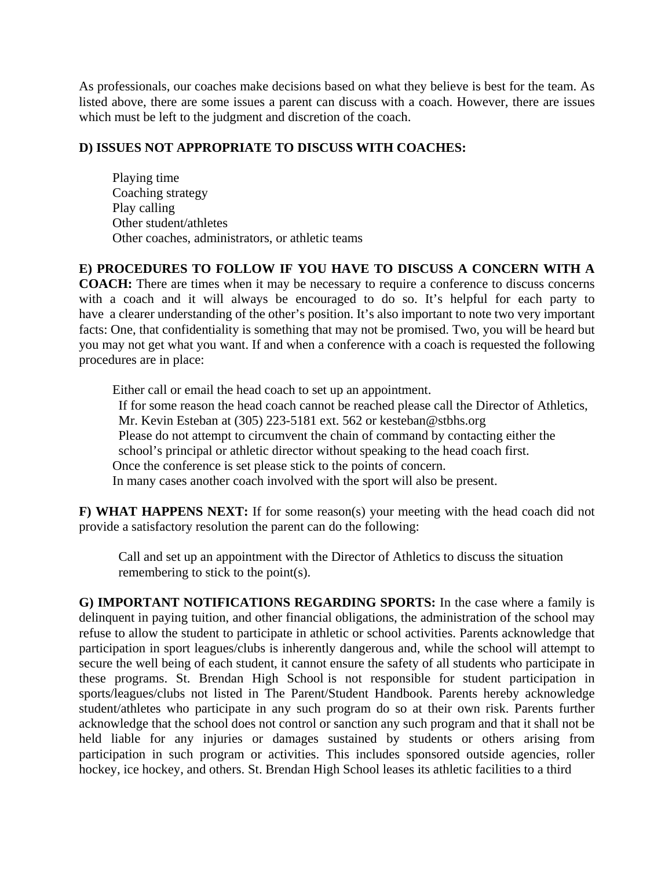As professionals, our coaches make decisions based on what they believe is best for the team. As listed above, there are some issues a parent can discuss with a coach. However, there are issues which must be left to the judgment and discretion of the coach.

## **D) ISSUES NOT APPROPRIATE TO DISCUSS WITH COACHES:**

 Playing time Coaching strategy Play calling Other student/athletes Other coaches, administrators, or athletic teams

**E) PROCEDURES TO FOLLOW IF YOU HAVE TO DISCUSS A CONCERN WITH A COACH:** There are times when it may be necessary to require a conference to discuss concerns with a coach and it will always be encouraged to do so. It's helpful for each party to have a clearer understanding of the other's position. It's also important to note two very important facts: One, that confidentiality is something that may not be promised. Two, you will be heard but you may not get what you want. If and when a conference with a coach is requested the following procedures are in place:

 Either call or email the head coach to set up an appointment. If for some reason the head coach cannot be reached please call the Director of Athletics, Mr. Kevin Esteban at (305) 223-5181 ext. 562 or kesteban@stbhs.org Please do not attempt to circumvent the chain of command by contacting either the school's principal or athletic director without speaking to the head coach first. Once the conference is set please stick to the points of concern. In many cases another coach involved with the sport will also be present.

**F) WHAT HAPPENS NEXT:** If for some reason(s) your meeting with the head coach did not provide a satisfactory resolution the parent can do the following:

Call and set up an appointment with the Director of Athletics to discuss the situation remembering to stick to the point(s).

**G) IMPORTANT NOTIFICATIONS REGARDING SPORTS:** In the case where a family is delinquent in paying tuition, and other financial obligations, the administration of the school may refuse to allow the student to participate in athletic or school activities. Parents acknowledge that participation in sport leagues/clubs is inherently dangerous and, while the school will attempt to secure the well being of each student, it cannot ensure the safety of all students who participate in these programs. St. Brendan High School is not responsible for student participation in sports/leagues/clubs not listed in The Parent/Student Handbook. Parents hereby acknowledge student/athletes who participate in any such program do so at their own risk. Parents further acknowledge that the school does not control or sanction any such program and that it shall not be held liable for any injuries or damages sustained by students or others arising from participation in such program or activities. This includes sponsored outside agencies, roller hockey, ice hockey, and others. St. Brendan High School leases its athletic facilities to a third